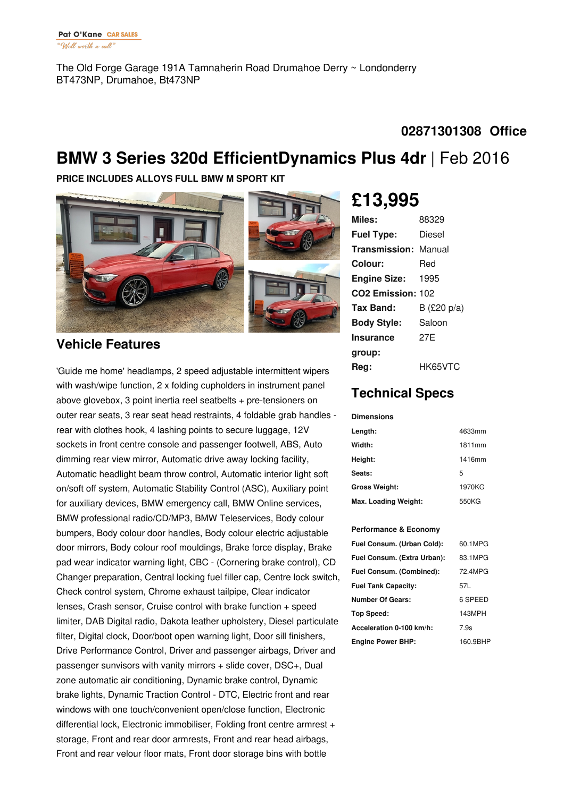The Old Forge Garage 191A Tamnaherin Road Drumahoe Derry ~ Londonderry BT473NP, Drumahoe, Bt473NP

### **02871301308 Office**

## **BMW 3 Series 320d EfficientDynamics Plus 4dr** |Feb 2016

**PRICE INCLUDES ALLOYS FULL BMW M SPORT KIT**



### **Vehicle Features**

'Guide me home' headlamps, 2 speed adjustable intermittent wipers with wash/wipe function, 2 x folding cupholders in instrument panel above glovebox, 3 point inertia reel seatbelts + pre-tensioners on outer rear seats, 3 rear seat head restraints, 4 foldable grab handles rear with clothes hook, 4 lashing points to secure luggage, 12V sockets in front centre console and passenger footwell, ABS, Auto dimming rear view mirror, Automatic drive away locking facility, Automatic headlight beam throw control, Automatic interior light soft on/soft off system, Automatic Stability Control (ASC), Auxiliary point for auxiliary devices, BMW emergency call, BMW Online services, BMW professional radio/CD/MP3, BMW Teleservices, Body colour bumpers, Body colour door handles, Body colour electric adjustable door mirrors, Body colour roof mouldings, Brake force display, Brake pad wear indicator warning light, CBC - (Cornering brake control), CD Changer preparation, Central locking fuel filler cap, Centre lock switch, Check control system, Chrome exhaust tailpipe, Clear indicator lenses, Crash sensor, Cruise control with brake function + speed limiter, DAB Digital radio, Dakota leather upholstery, Diesel particulate filter, Digital clock, Door/boot open warning light, Door sill finishers, Drive Performance Control, Driver and passenger airbags, Driver and passenger sunvisors with vanity mirrors + slide cover, DSC+, Dual zone automatic air conditioning, Dynamic brake control, Dynamic brake lights, Dynamic Traction Control - DTC, Electric front and rear windows with one touch/convenient open/close function, Electronic differential lock, Electronic immobiliser, Folding front centre armrest + storage, Front and rear door armrests, Front and rear head airbags, Front and rear velour floor mats, Front door storage bins with bottle

# **£13,995**

| Miles:                        | 88329          |
|-------------------------------|----------------|
| <b>Fuel Type:</b>             | Diesel         |
| <b>Transmission: Manual</b>   |                |
| Colour:                       | Red            |
| <b>Engine Size:</b>           | 1995           |
| CO <sub>2</sub> Emission: 102 |                |
| Tax Band:                     | B (£20 $p/a$ ) |
| <b>Body Style:</b>            | Saloon         |
| Insurance                     | 27F            |
| group:                        |                |
| Rea:                          | HK65VTC        |

## **Technical Specs**

#### **Dimensions**

| Length:              | 4633mm |
|----------------------|--------|
| Width:               | 1811mm |
| Height:              | 1416mm |
| Seats:               | 5      |
| <b>Gross Weight:</b> | 1970KG |
| Max. Loading Weight: | 550KG  |

#### **Performance & Economy**

| Fuel Consum. (Urban Cold):  | 60.1MPG  |
|-----------------------------|----------|
| Fuel Consum. (Extra Urban): | 83.1MPG  |
| Fuel Consum. (Combined):    | 72.4MPG  |
| <b>Fuel Tank Capacity:</b>  | 57L      |
| <b>Number Of Gears:</b>     | 6 SPEED  |
| Top Speed:                  | 143MPH   |
| Acceleration 0-100 km/h:    | 7.9s     |
| <b>Engine Power BHP:</b>    | 160.9BHP |